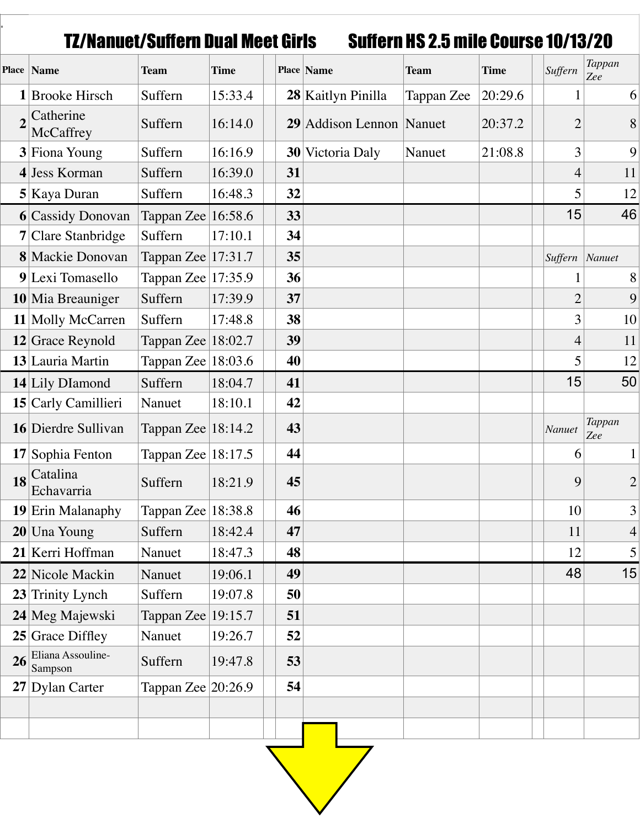TZ/Nanuet/Suffern Dual Meet Girls Suffern HS 2.5 mile Course 10/13/20

|    | Place   Name                 | <b>Team</b>            | <b>Time</b> |    | Place Name               | <b>Team</b> | <b>Time</b> | Suffern        | Tappan<br>Zee         |
|----|------------------------------|------------------------|-------------|----|--------------------------|-------------|-------------|----------------|-----------------------|
|    | 1 Brooke Hirsch              | Suffern                | 15:33.4     |    | 28 Kaitlyn Pinilla       | Tappan Zee  | 20:29.6     |                | 6                     |
|    | Catherine<br>McCaffrey       | Suffern                | 16:14.0     |    | 29 Addison Lennon Nanuet |             | 20:37.2     | $\overline{2}$ | 8                     |
|    | 3 Fiona Young                | Suffern                | 16:16.9     |    | 30 Victoria Daly         | Nanuet      | 21:08.8     | 3              | 9                     |
|    | 4 Jess Korman                | Suffern                | 16:39.0     | 31 |                          |             |             | 4              | 11                    |
|    | 5 Kaya Duran                 | Suffern                | 16:48.3     | 32 |                          |             |             | 5              | 12                    |
|    | <b>6</b> Cassidy Donovan     | Tappan Zee 16:58.6     |             | 33 |                          |             |             | 15             | 46                    |
|    | 7 Clare Stanbridge           | Suffern                | 17:10.1     | 34 |                          |             |             |                |                       |
|    | 8 Mackie Donovan             | Tappan Zee $ 17:31.7$  |             | 35 |                          |             |             | Suffern        | $\vert$ <i>Nanuet</i> |
|    | 9 Lexi Tomasello             | Tappan Zee $ 17:35.9$  |             | 36 |                          |             |             |                | 8                     |
|    | 10 Mia Breauniger            | Suffern                | 17:39.9     | 37 |                          |             |             | $\overline{2}$ | 9                     |
|    | 11 Molly McCarren            | Suffern                | 17:48.8     | 38 |                          |             |             | 3              | 10                    |
|    | $12$ Grace Reynold           | Tappan Zee $ 18:02.7 $ |             | 39 |                          |             |             | 4              | 11                    |
|    | 13 Lauria Martin             | Tappan Zee $ 18:03.6 $ |             | 40 |                          |             |             | 5              | 12                    |
|    | 14 Lily DIamond              | Suffern                | 18:04.7     | 41 |                          |             |             | 15             | 50                    |
|    | 15 Carly Camillieri          | Nanuet                 | 18:10.1     | 42 |                          |             |             |                |                       |
|    | 16 Dierdre Sullivan          | Tappan Zee $ 18:14.2$  |             | 43 |                          |             |             | Nanuet         | Tappan<br>Zee         |
|    | 17 Sophia Fenton             | Tappan Zee   18:17.5   |             | 44 |                          |             |             | 6              | $\mathbf{1}$          |
| 18 | Catalina<br>Echavarria       | Suffern                | 18:21.9     | 45 |                          |             |             | 9              | $\mathbf{2}$          |
|    | 19 Erin Malanaphy            | Tappan Zee $ 18:38.8$  |             | 46 |                          |             |             | 10             | 3                     |
|    | $20$ Una Young               | Suffern                | 18:42.4     | 47 |                          |             |             | 11             | $\overline{4}$        |
|    | 21 Kerri Hoffman             | Nanuet                 | 18:47.3     | 48 |                          |             |             | 12             | 5                     |
|    | 22 Nicole Mackin             | Nanuet                 | 19:06.1     | 49 |                          |             |             | 48             | 15                    |
|    | 23 Trinity Lynch             | Suffern                | 19:07.8     | 50 |                          |             |             |                |                       |
|    | 24 Meg Majewski              | Tappan Zee $ 19:15.7 $ |             | 51 |                          |             |             |                |                       |
|    | $25$ Grace Diffley           | Nanuet                 | 19:26.7     | 52 |                          |             |             |                |                       |
| 26 | Eliana Assouline-<br>Sampson | Suffern                | 19:47.8     | 53 |                          |             |             |                |                       |
|    | $27$ Dylan Carter            | Tappan Zee $ 20:26.9 $ |             | 54 |                          |             |             |                |                       |
|    |                              |                        |             |    |                          |             |             |                |                       |
|    |                              |                        |             |    |                          |             |             |                |                       |